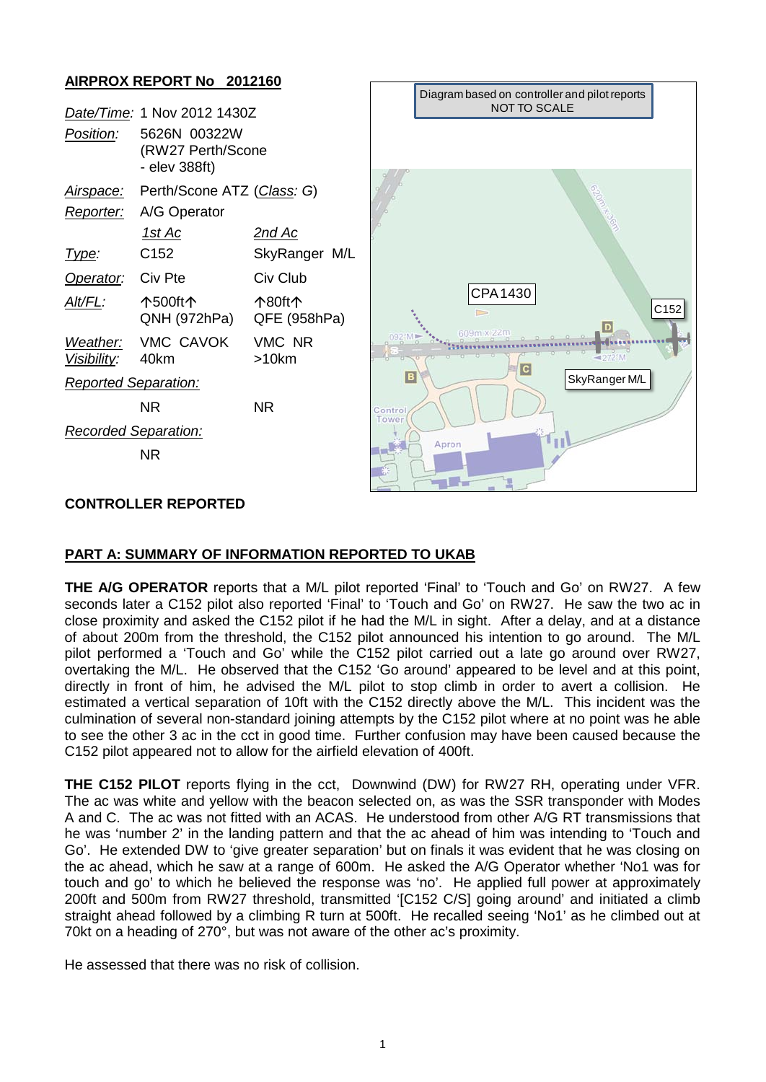### **AIRPROX REPORT No 2012160**

|                             | Date/Time: 1 Nov 2012 1430Z                        |                        |
|-----------------------------|----------------------------------------------------|------------------------|
| <i>Position:</i>            | 5626N 00322W<br>(RW27 Perth/Scone<br>- elev 388ft) |                        |
| <u>Airspace:</u>            | Perth/Scone ATZ (Class: G)                         |                        |
|                             | Reporter: A/G Operator                             |                        |
|                             | 1st Ac                                             | 2nd Ac                 |
| <u>lype:</u>                | C152                                               | SkyRanger M/L          |
| Operator:                   | Civ Pte                                            | Civ Club               |
| Alt/FL:                     | <b>个500ft个</b><br>QNH (972hPa)                     | 个80ft个<br>QFE (958hPa) |
| Visibility: 40km            | Weather: VMC CAVOK                                 | VMC NR<br>>10km        |
| <b>Reported Separation:</b> |                                                    |                        |
|                             | NR                                                 | NR.                    |
| <b>Recorded Separation:</b> |                                                    |                        |
|                             | NR                                                 |                        |



#### **CONTROLLER REPORTED**

#### **PART A: SUMMARY OF INFORMATION REPORTED TO UKAB**

**THE A/G OPERATOR** reports that a M/L pilot reported 'Final' to 'Touch and Go' on RW27. A few seconds later a C152 pilot also reported 'Final' to 'Touch and Go' on RW27. He saw the two ac in close proximity and asked the C152 pilot if he had the M/L in sight. After a delay, and at a distance of about 200m from the threshold, the C152 pilot announced his intention to go around. The M/L pilot performed a 'Touch and Go' while the C152 pilot carried out a late go around over RW27, overtaking the M/L. He observed that the C152 'Go around' appeared to be level and at this point, directly in front of him, he advised the M/L pilot to stop climb in order to avert a collision. He estimated a vertical separation of 10ft with the C152 directly above the M/L. This incident was the culmination of several non-standard joining attempts by the C152 pilot where at no point was he able to see the other 3 ac in the cct in good time. Further confusion may have been caused because the C152 pilot appeared not to allow for the airfield elevation of 400ft.

**THE C152 PILOT** reports flying in the cct, Downwind (DW) for RW27 RH, operating under VFR. The ac was white and yellow with the beacon selected on, as was the SSR transponder with Modes A and C. The ac was not fitted with an ACAS. He understood from other A/G RT transmissions that he was 'number 2' in the landing pattern and that the ac ahead of him was intending to 'Touch and Go'. He extended DW to 'give greater separation' but on finals it was evident that he was closing on the ac ahead, which he saw at a range of 600m. He asked the A/G Operator whether 'No1 was for touch and go' to which he believed the response was 'no'. He applied full power at approximately 200ft and 500m from RW27 threshold, transmitted '[C152 C/S] going around' and initiated a climb straight ahead followed by a climbing R turn at 500ft. He recalled seeing 'No1' as he climbed out at 70kt on a heading of 270°, but was not aware of the other ac's proximity.

He assessed that there was no risk of collision.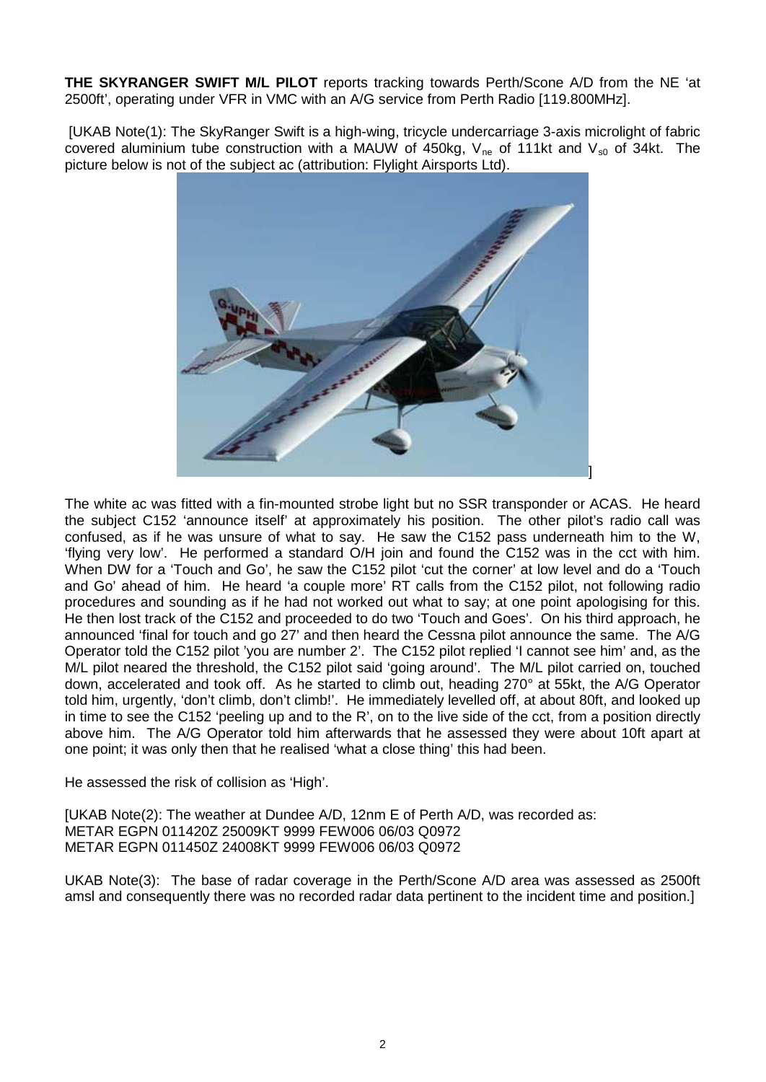**THE SKYRANGER SWIFT M/L PILOT** reports tracking towards Perth/Scone A/D from the NE 'at 2500ft', operating under VFR in VMC with an A/G service from Perth Radio [119.800MHz].

[UKAB Note(1): The SkyRanger Swift is a high-wing, tricycle undercarriage 3-axis microlight of fabric covered aluminium tube construction with a MAUW of 450kg,  $V_{ne}$  of 111kt and  $V_{s0}$  of 34kt. The picture below is not of the subject ac (attribution: Flylight Airsports Ltd).



The white ac was fitted with a fin-mounted strobe light but no SSR transponder or ACAS. He heard the subject C152 'announce itself' at approximately his position. The other pilot's radio call was confused, as if he was unsure of what to say. He saw the C152 pass underneath him to the W, 'flying very low'. He performed a standard O/H join and found the C152 was in the cct with him. When DW for a 'Touch and Go', he saw the C152 pilot 'cut the corner' at low level and do a 'Touch and Go' ahead of him. He heard 'a couple more' RT calls from the C152 pilot, not following radio procedures and sounding as if he had not worked out what to say; at one point apologising for this. He then lost track of the C152 and proceeded to do two 'Touch and Goes'. On his third approach, he announced 'final for touch and go 27' and then heard the Cessna pilot announce the same. The A/G Operator told the C152 pilot 'you are number 2'. The C152 pilot replied 'I cannot see him' and, as the M/L pilot neared the threshold, the C152 pilot said 'going around'. The M/L pilot carried on, touched down, accelerated and took off. As he started to climb out, heading 270° at 55kt, the A/G Operator told him, urgently, 'don't climb, don't climb!'. He immediately levelled off, at about 80ft, and looked up in time to see the C152 'peeling up and to the R', on to the live side of the cct, from a position directly above him. The A/G Operator told him afterwards that he assessed they were about 10ft apart at one point; it was only then that he realised 'what a close thing' this had been.

He assessed the risk of collision as 'High'.

[UKAB Note(2): The weather at Dundee A/D, 12nm E of Perth A/D, was recorded as: METAR EGPN 011420Z 25009KT 9999 FEW006 06/03 Q0972 METAR EGPN 011450Z 24008KT 9999 FEW006 06/03 Q0972

UKAB Note(3): The base of radar coverage in the Perth/Scone A/D area was assessed as 2500ft amsl and consequently there was no recorded radar data pertinent to the incident time and position.]